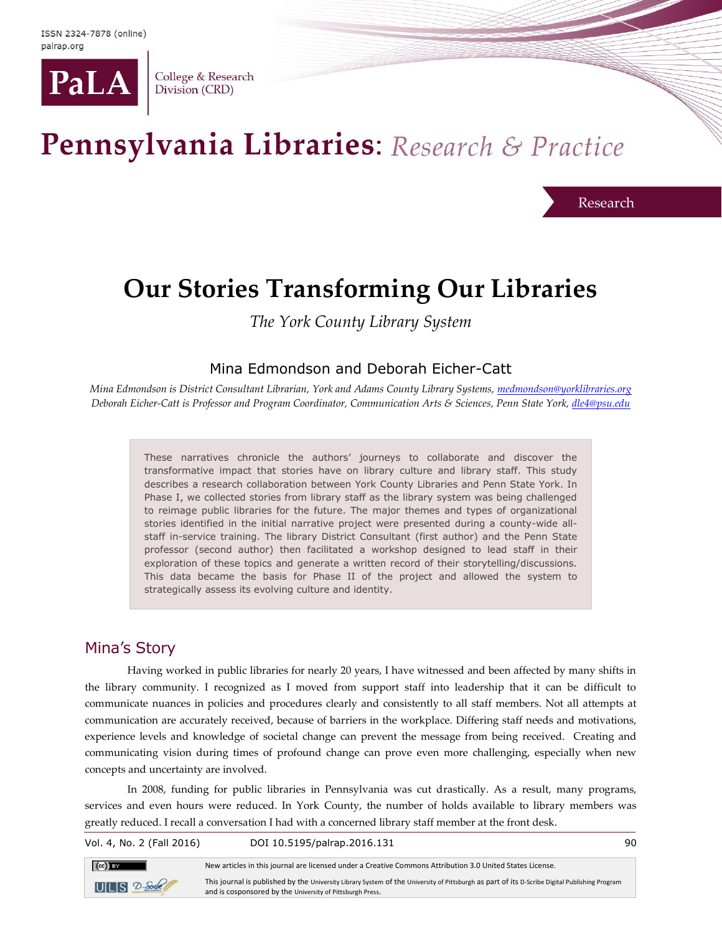

College & Research Division (CRD)

# Pennsylvania Libraries: Research & Practice

Research

## **Our Stories Transforming Our Libraries**

*The York County Library System*

#### Mina Edmondson and Deborah Eicher-Catt

*Mina Edmondson is District Consultant Librarian, York and Adams County Library Systems[, medmondson@yorklibraries.org](mailto:medmondson@yorklibraries.org) Deborah Eicher-Catt is Professor and Program Coordinator, Communication Arts & Sciences, Penn State York, [dle4@psu.edu](mailto:dle4@psu.edu)*

These narratives chronicle the authors' journeys to collaborate and discover the transformative impact that stories have on library culture and library staff. This study describes a research collaboration between York County Libraries and Penn State York. In Phase I, we collected stories from library staff as the library system was being challenged to reimage public libraries for the future. The major themes and types of organizational stories identified in the initial narrative project were presented during a county-wide allstaff in-service training. The library District Consultant (first author) and the Penn State professor (second author) then facilitated a workshop designed to lead staff in their exploration of these topics and generate a written record of their storytelling/discussions. This data became the basis for Phase II of the project and allowed the system to strategically assess its evolving culture and identity.

### Mina's Story

Having worked in public libraries for nearly 20 years, I have witnessed and been affected by many shifts in the library community. I recognized as I moved from support staff into leadership that it can be difficult to communicate nuances in policies and procedures clearly and consistently to all staff members. Not all attempts at communication are accurately received, because of barriers in the workplace. Differing staff needs and motivations, experience levels and knowledge of societal change can prevent the message from being received. Creating and communicating vision during times of profound change can prove even more challenging, especially when new concepts and uncertainty are involved.

In 2008, funding for public libraries in Pennsylvania was cut drastically. As a result, many programs, services and even hours were reduced. In York County, the number of holds available to library members was greatly reduced. I recall a conversation I had with a concerned library staff member at the front desk.

Vol. 4, No. 2 (Fall 2016) DOI 10.5195/palrap.2016.131 90



New articles in this journal are licensed under a Creative Commons Attribution 3.0 United States License.

This journal is published by the University Library System of the University of Pittsburgh as part of its D-Scribe Digital Publishing Program and is cosponsored by the University of Pittsburgh Press.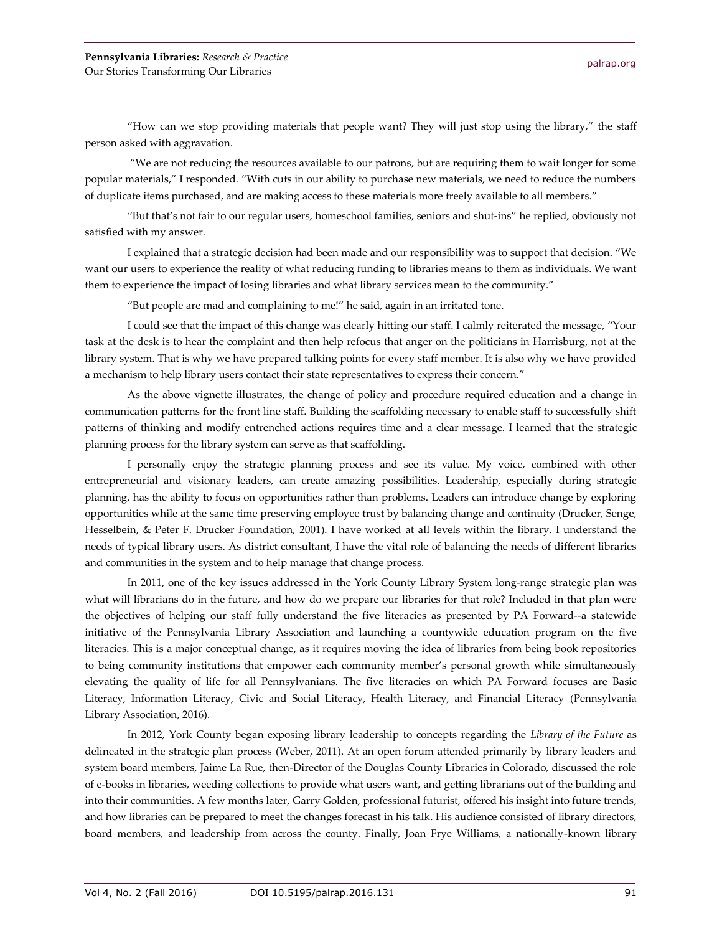"How can we stop providing materials that people want? They will just stop using the library," the staff person asked with aggravation.

"We are not reducing the resources available to our patrons, but are requiring them to wait longer for some popular materials," I responded. "With cuts in our ability to purchase new materials, we need to reduce the numbers of duplicate items purchased, and are making access to these materials more freely available to all members."

"But that's not fair to our regular users, homeschool families, seniors and shut-ins" he replied, obviously not satisfied with my answer.

I explained that a strategic decision had been made and our responsibility was to support that decision. "We want our users to experience the reality of what reducing funding to libraries means to them as individuals. We want them to experience the impact of losing libraries and what library services mean to the community."

"But people are mad and complaining to me!" he said, again in an irritated tone.

I could see that the impact of this change was clearly hitting our staff. I calmly reiterated the message, "Your task at the desk is to hear the complaint and then help refocus that anger on the politicians in Harrisburg, not at the library system. That is why we have prepared talking points for every staff member. It is also why we have provided a mechanism to help library users contact their state representatives to express their concern."

As the above vignette illustrates, the change of policy and procedure required education and a change in communication patterns for the front line staff. Building the scaffolding necessary to enable staff to successfully shift patterns of thinking and modify entrenched actions requires time and a clear message. I learned that the strategic planning process for the library system can serve as that scaffolding.

I personally enjoy the strategic planning process and see its value. My voice, combined with other entrepreneurial and visionary leaders, can create amazing possibilities. Leadership, especially during strategic planning, has the ability to focus on opportunities rather than problems. Leaders can introduce change by exploring opportunities while at the same time preserving employee trust by balancing change and continuity (Drucker, Senge, Hesselbein, & Peter F. Drucker Foundation, 2001). I have worked at all levels within the library. I understand the needs of typical library users. As district consultant, I have the vital role of balancing the needs of different libraries and communities in the system and to help manage that change process.

In 2011, one of the key issues addressed in the York County Library System long-range strategic plan was what will librarians do in the future, and how do we prepare our libraries for that role? Included in that plan were the objectives of helping our staff fully understand the five literacies as presented by PA Forward--a statewide initiative of the Pennsylvania Library Association and launching a countywide education program on the five literacies. This is a major conceptual change, as it requires moving the idea of libraries from being book repositories to being community institutions that empower each community member's personal growth while simultaneously elevating the quality of life for all Pennsylvanians. The five literacies on which PA Forward focuses are Basic Literacy, Information Literacy, Civic and Social Literacy, Health Literacy, and Financial Literacy (Pennsylvania Library Association, 2016).

In 2012, York County began exposing library leadership to concepts regarding the *Library of the Future* as delineated in the strategic plan process (Weber, 2011). At an open forum attended primarily by library leaders and system board members, Jaime La Rue, then-Director of the Douglas County Libraries in Colorado, discussed the role of e-books in libraries, weeding collections to provide what users want, and getting librarians out of the building and into their communities. A few months later, Garry Golden, professional futurist, offered his insight into future trends, and how libraries can be prepared to meet the changes forecast in his talk. His audience consisted of library directors, board members, and leadership from across the county. Finally, Joan Frye Williams, a nationally-known library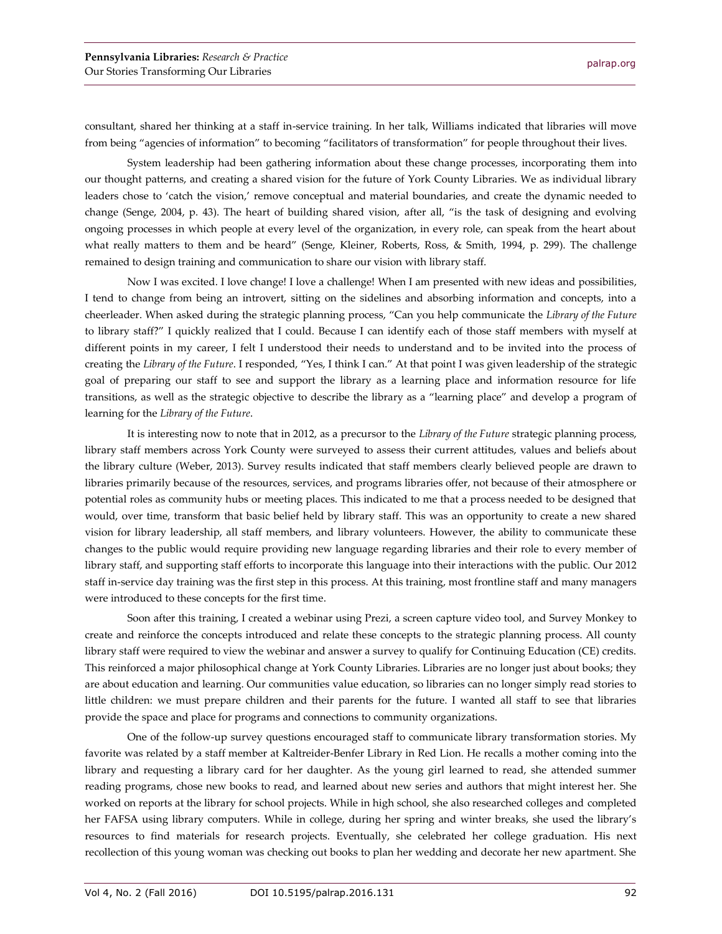consultant, shared her thinking at a staff in-service training. In her talk, Williams indicated that libraries will move from being "agencies of information" to becoming "facilitators of transformation" for people throughout their lives.

System leadership had been gathering information about these change processes, incorporating them into our thought patterns, and creating a shared vision for the future of York County Libraries. We as individual library leaders chose to 'catch the vision,' remove conceptual and material boundaries, and create the dynamic needed to change (Senge, 2004, p. 43). The heart of building shared vision, after all, "is the task of designing and evolving ongoing processes in which people at every level of the organization, in every role, can speak from the heart about what really matters to them and be heard" (Senge, Kleiner, Roberts, Ross, & Smith, 1994, p. 299). The challenge remained to design training and communication to share our vision with library staff.

Now I was excited. I love change! I love a challenge! When I am presented with new ideas and possibilities, I tend to change from being an introvert, sitting on the sidelines and absorbing information and concepts, into a cheerleader. When asked during the strategic planning process, "Can you help communicate the *Library of the Future* to library staff?" I quickly realized that I could. Because I can identify each of those staff members with myself at different points in my career, I felt I understood their needs to understand and to be invited into the process of creating the *Library of the Future*. I responded, "Yes, I think I can." At that point I was given leadership of the strategic goal of preparing our staff to see and support the library as a learning place and information resource for life transitions, as well as the strategic objective to describe the library as a "learning place" and develop a program of learning for the *Library of the Future*.

It is interesting now to note that in 2012, as a precursor to the *Library of the Future* strategic planning process, library staff members across York County were surveyed to assess their current attitudes, values and beliefs about the library culture (Weber, 2013). Survey results indicated that staff members clearly believed people are drawn to libraries primarily because of the resources, services, and programs libraries offer, not because of their atmosphere or potential roles as community hubs or meeting places. This indicated to me that a process needed to be designed that would, over time, transform that basic belief held by library staff. This was an opportunity to create a new shared vision for library leadership, all staff members, and library volunteers. However, the ability to communicate these changes to the public would require providing new language regarding libraries and their role to every member of library staff, and supporting staff efforts to incorporate this language into their interactions with the public. Our 2012 staff in-service day training was the first step in this process. At this training, most frontline staff and many managers were introduced to these concepts for the first time.

Soon after this training, I created a webinar using Prezi, a screen capture video tool, and Survey Monkey to create and reinforce the concepts introduced and relate these concepts to the strategic planning process. All county library staff were required to view the webinar and answer a survey to qualify for Continuing Education (CE) credits. This reinforced a major philosophical change at York County Libraries. Libraries are no longer just about books; they are about education and learning. Our communities value education, so libraries can no longer simply read stories to little children: we must prepare children and their parents for the future. I wanted all staff to see that libraries provide the space and place for programs and connections to community organizations.

One of the follow-up survey questions encouraged staff to communicate library transformation stories. My favorite was related by a staff member at Kaltreider-Benfer Library in Red Lion. He recalls a mother coming into the library and requesting a library card for her daughter. As the young girl learned to read, she attended summer reading programs, chose new books to read, and learned about new series and authors that might interest her. She worked on reports at the library for school projects. While in high school, she also researched colleges and completed her FAFSA using library computers. While in college, during her spring and winter breaks, she used the library's resources to find materials for research projects. Eventually, she celebrated her college graduation. His next recollection of this young woman was checking out books to plan her wedding and decorate her new apartment. She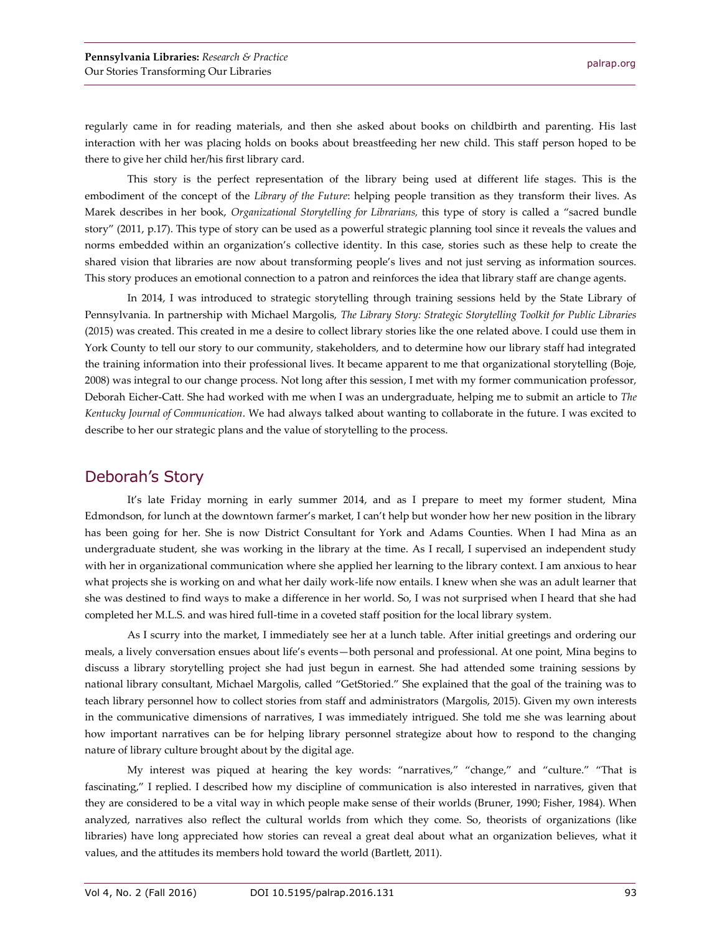regularly came in for reading materials, and then she asked about books on childbirth and parenting. His last interaction with her was placing holds on books about breastfeeding her new child. This staff person hoped to be there to give her child her/his first library card.

This story is the perfect representation of the library being used at different life stages. This is the embodiment of the concept of the *Library of the Future*: helping people transition as they transform their lives. As Marek describes in her book, *Organizational Storytelling for Librarians,* this type of story is called a "sacred bundle story" (2011, p.17). This type of story can be used as a powerful strategic planning tool since it reveals the values and norms embedded within an organization's collective identity. In this case, stories such as these help to create the shared vision that libraries are now about transforming people's lives and not just serving as information sources. This story produces an emotional connection to a patron and reinforces the idea that library staff are change agents.

In 2014, I was introduced to strategic storytelling through training sessions held by the State Library of Pennsylvania. In partnership with Michael Margolis, *The Library Story: Strategic Storytelling Toolkit for Public Libraries* (2015) was created. This created in me a desire to collect library stories like the one related above. I could use them in York County to tell our story to our community, stakeholders, and to determine how our library staff had integrated the training information into their professional lives. It became apparent to me that organizational storytelling (Boje, 2008) was integral to our change process. Not long after this session, I met with my former communication professor, Deborah Eicher-Catt. She had worked with me when I was an undergraduate, helping me to submit an article to *The Kentucky Journal of Communication*. We had always talked about wanting to collaborate in the future. I was excited to describe to her our strategic plans and the value of storytelling to the process.

### Deborah's Story

It's late Friday morning in early summer 2014, and as I prepare to meet my former student, Mina Edmondson, for lunch at the downtown farmer's market, I can't help but wonder how her new position in the library has been going for her. She is now District Consultant for York and Adams Counties. When I had Mina as an undergraduate student, she was working in the library at the time. As I recall, I supervised an independent study with her in organizational communication where she applied her learning to the library context. I am anxious to hear what projects she is working on and what her daily work-life now entails. I knew when she was an adult learner that she was destined to find ways to make a difference in her world. So, I was not surprised when I heard that she had completed her M.L.S. and was hired full-time in a coveted staff position for the local library system.

As I scurry into the market, I immediately see her at a lunch table. After initial greetings and ordering our meals, a lively conversation ensues about life's events—both personal and professional. At one point, Mina begins to discuss a library storytelling project she had just begun in earnest. She had attended some training sessions by national library consultant, Michael Margolis, called "GetStoried." She explained that the goal of the training was to teach library personnel how to collect stories from staff and administrators (Margolis, 2015). Given my own interests in the communicative dimensions of narratives, I was immediately intrigued. She told me she was learning about how important narratives can be for helping library personnel strategize about how to respond to the changing nature of library culture brought about by the digital age.

My interest was piqued at hearing the key words: "narratives," "change," and "culture." "That is fascinating," I replied. I described how my discipline of communication is also interested in narratives, given that they are considered to be a vital way in which people make sense of their worlds (Bruner, 1990; Fisher, 1984). When analyzed, narratives also reflect the cultural worlds from which they come. So, theorists of organizations (like libraries) have long appreciated how stories can reveal a great deal about what an organization believes, what it values, and the attitudes its members hold toward the world (Bartlett, 2011).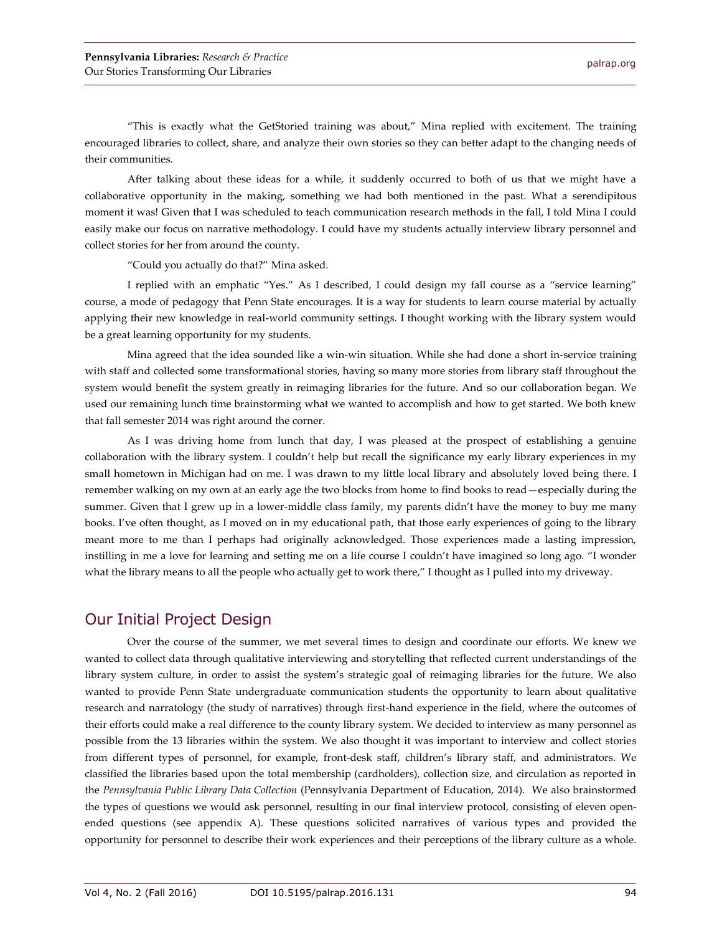"This is exactly what the GetStoried training was about," Mina replied with excitement. The training encouraged libraries to collect, share, and analyze their own stories so they can better adapt to the changing needs of their communities.

After talking about these ideas for a while, it suddenly occurred to both of us that we might have a collaborative opportunity in the making, something we had both mentioned in the past. What a serendipitous moment it was! Given that I was scheduled to teach communication research methods in the fall, I told Mina I could easily make our focus on narrative methodology. I could have my students actually interview library personnel and collect stories for her from around the county.

"Could you actually do that?" Mina asked.

I replied with an emphatic "Yes." As I described, I could design my fall course as a "service learning" course, a mode of pedagogy that Penn State encourages. It is a way for students to learn course material by actually applying their new knowledge in real-world community settings. I thought working with the library system would be a great learning opportunity for my students.

Mina agreed that the idea sounded like a win-win situation. While she had done a short in-service training with staff and collected some transformational stories, having so many more stories from library staff throughout the system would benefit the system greatly in reimaging libraries for the future. And so our collaboration began. We used our remaining lunch time brainstorming what we wanted to accomplish and how to get started. We both knew that fall semester 2014 was right around the corner.

As I was driving home from lunch that day, I was pleased at the prospect of establishing a genuine collaboration with the library system. I couldn't help but recall the significance my early library experiences in my small hometown in Michigan had on me. I was drawn to my little local library and absolutely loved being there. I remember walking on my own at an early age the two blocks from home to find books to read—especially during the summer. Given that I grew up in a lower-middle class family, my parents didn't have the money to buy me many books. I've often thought, as I moved on in my educational path, that those early experiences of going to the library meant more to me than I perhaps had originally acknowledged. Those experiences made a lasting impression, instilling in me a love for learning and setting me on a life course I couldn't have imagined so long ago. "I wonder what the library means to all the people who actually get to work there," I thought as I pulled into my driveway.

### Our Initial Project Design

Over the course of the summer, we met several times to design and coordinate our efforts. We knew we wanted to collect data through qualitative interviewing and storytelling that reflected current understandings of the library system culture, in order to assist the system's strategic goal of reimaging libraries for the future. We also wanted to provide Penn State undergraduate communication students the opportunity to learn about qualitative research and narratology (the study of narratives) through first-hand experience in the field, where the outcomes of their efforts could make a real difference to the county library system. We decided to interview as many personnel as possible from the 13 libraries within the system. We also thought it was important to interview and collect stories from different types of personnel, for example, front-desk staff, children's library staff, and administrators. We classified the libraries based upon the total membership (cardholders), collection size, and circulation as reported in the *Pennsylvania Public Library Data Collection* (Pennsylvania Department of Education, 2014). We also brainstormed the types of questions we would ask personnel, resulting in our final interview protocol, consisting of eleven openended questions (see appendix A). These questions solicited narratives of various types and provided the opportunity for personnel to describe their work experiences and their perceptions of the library culture as a whole.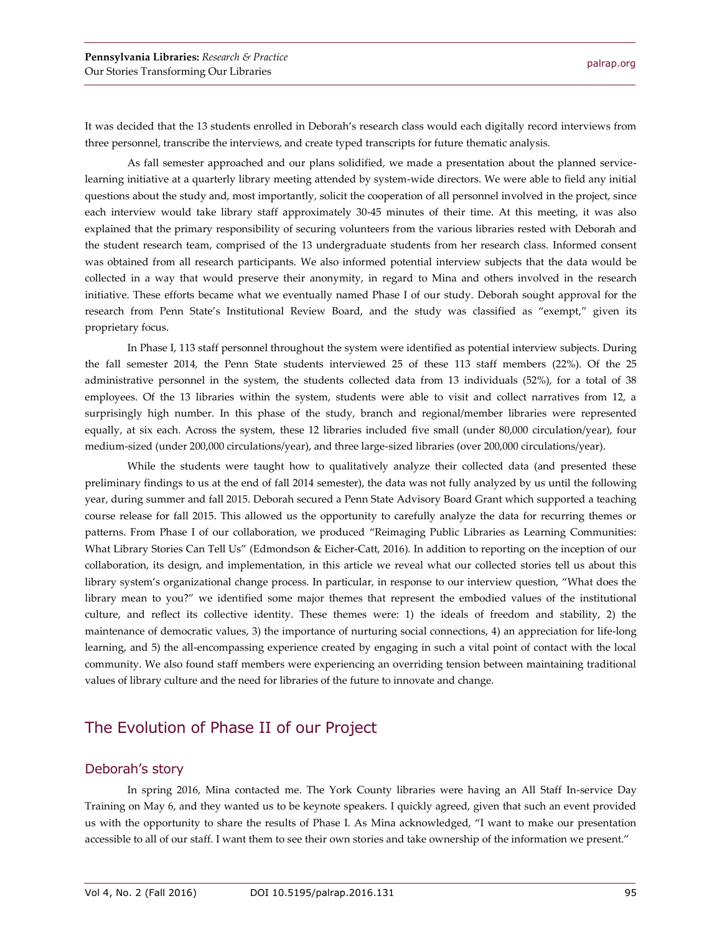It was decided that the 13 students enrolled in Deborah's research class would each digitally record interviews from three personnel, transcribe the interviews, and create typed transcripts for future thematic analysis.

As fall semester approached and our plans solidified, we made a presentation about the planned servicelearning initiative at a quarterly library meeting attended by system-wide directors. We were able to field any initial questions about the study and, most importantly, solicit the cooperation of all personnel involved in the project, since each interview would take library staff approximately 30-45 minutes of their time. At this meeting, it was also explained that the primary responsibility of securing volunteers from the various libraries rested with Deborah and the student research team, comprised of the 13 undergraduate students from her research class. Informed consent was obtained from all research participants. We also informed potential interview subjects that the data would be collected in a way that would preserve their anonymity, in regard to Mina and others involved in the research initiative. These efforts became what we eventually named Phase I of our study. Deborah sought approval for the research from Penn State's Institutional Review Board, and the study was classified as "exempt," given its proprietary focus.

In Phase I, 113 staff personnel throughout the system were identified as potential interview subjects. During the fall semester 2014, the Penn State students interviewed 25 of these 113 staff members (22%). Of the 25 administrative personnel in the system, the students collected data from 13 individuals (52%), for a total of 38 employees. Of the 13 libraries within the system, students were able to visit and collect narratives from 12, a surprisingly high number. In this phase of the study, branch and regional/member libraries were represented equally, at six each. Across the system, these 12 libraries included five small (under 80,000 circulation/year), four medium-sized (under 200,000 circulations/year), and three large-sized libraries (over 200,000 circulations/year).

While the students were taught how to qualitatively analyze their collected data (and presented these preliminary findings to us at the end of fall 2014 semester), the data was not fully analyzed by us until the following year, during summer and fall 2015. Deborah secured a Penn State Advisory Board Grant which supported a teaching course release for fall 2015. This allowed us the opportunity to carefully analyze the data for recurring themes or patterns. From Phase I of our collaboration, we produced "Reimaging Public Libraries as Learning Communities: What Library Stories Can Tell Us" (Edmondson & Eicher-Catt, 2016)*.* In addition to reporting on the inception of our collaboration, its design, and implementation, in this article we reveal what our collected stories tell us about this library system's organizational change process. In particular, in response to our interview question, "What does the library mean to you?" we identified some major themes that represent the embodied values of the institutional culture, and reflect its collective identity. These themes were: 1) the ideals of freedom and stability, 2) the maintenance of democratic values, 3) the importance of nurturing social connections, 4) an appreciation for life-long learning, and 5) the all-encompassing experience created by engaging in such a vital point of contact with the local community. We also found staff members were experiencing an overriding tension between maintaining traditional values of library culture and the need for libraries of the future to innovate and change.

## The Evolution of Phase II of our Project

#### Deborah's story

In spring 2016, Mina contacted me. The York County libraries were having an All Staff In-service Day Training on May 6, and they wanted us to be keynote speakers. I quickly agreed, given that such an event provided us with the opportunity to share the results of Phase I. As Mina acknowledged, "I want to make our presentation accessible to all of our staff. I want them to see their own stories and take ownership of the information we present."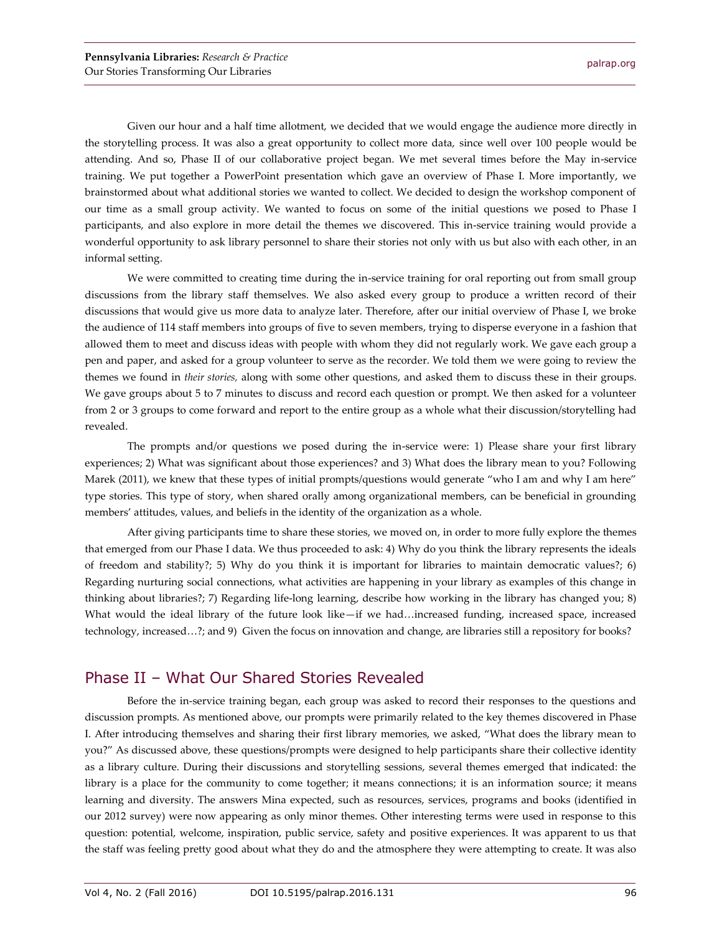Given our hour and a half time allotment, we decided that we would engage the audience more directly in the storytelling process. It was also a great opportunity to collect more data, since well over 100 people would be attending. And so, Phase II of our collaborative project began. We met several times before the May in-service training. We put together a PowerPoint presentation which gave an overview of Phase I. More importantly, we brainstormed about what additional stories we wanted to collect. We decided to design the workshop component of our time as a small group activity. We wanted to focus on some of the initial questions we posed to Phase I participants, and also explore in more detail the themes we discovered. This in-service training would provide a wonderful opportunity to ask library personnel to share their stories not only with us but also with each other, in an informal setting.

We were committed to creating time during the in-service training for oral reporting out from small group discussions from the library staff themselves. We also asked every group to produce a written record of their discussions that would give us more data to analyze later. Therefore, after our initial overview of Phase I, we broke the audience of 114 staff members into groups of five to seven members, trying to disperse everyone in a fashion that allowed them to meet and discuss ideas with people with whom they did not regularly work. We gave each group a pen and paper, and asked for a group volunteer to serve as the recorder. We told them we were going to review the themes we found in *their stories,* along with some other questions, and asked them to discuss these in their groups. We gave groups about 5 to 7 minutes to discuss and record each question or prompt. We then asked for a volunteer from 2 or 3 groups to come forward and report to the entire group as a whole what their discussion/storytelling had revealed.

The prompts and/or questions we posed during the in-service were: 1) Please share your first library experiences; 2) What was significant about those experiences? and 3) What does the library mean to you? Following Marek (2011), we knew that these types of initial prompts/questions would generate "who I am and why I am here" type stories. This type of story, when shared orally among organizational members, can be beneficial in grounding members' attitudes, values, and beliefs in the identity of the organization as a whole.

After giving participants time to share these stories, we moved on, in order to more fully explore the themes that emerged from our Phase I data. We thus proceeded to ask: 4) Why do you think the library represents the ideals of freedom and stability?; 5) Why do you think it is important for libraries to maintain democratic values?; 6) Regarding nurturing social connections, what activities are happening in your library as examples of this change in thinking about libraries?; 7) Regarding life-long learning, describe how working in the library has changed you; 8) What would the ideal library of the future look like—if we had…increased funding, increased space, increased technology, increased…?; and 9) Given the focus on innovation and change, are libraries still a repository for books?

### Phase II – What Our Shared Stories Revealed

Before the in-service training began, each group was asked to record their responses to the questions and discussion prompts. As mentioned above, our prompts were primarily related to the key themes discovered in Phase I. After introducing themselves and sharing their first library memories, we asked, "What does the library mean to you?" As discussed above, these questions/prompts were designed to help participants share their collective identity as a library culture. During their discussions and storytelling sessions, several themes emerged that indicated: the library is a place for the community to come together; it means connections; it is an information source; it means learning and diversity. The answers Mina expected, such as resources, services, programs and books (identified in our 2012 survey) were now appearing as only minor themes. Other interesting terms were used in response to this question: potential, welcome, inspiration, public service, safety and positive experiences. It was apparent to us that the staff was feeling pretty good about what they do and the atmosphere they were attempting to create. It was also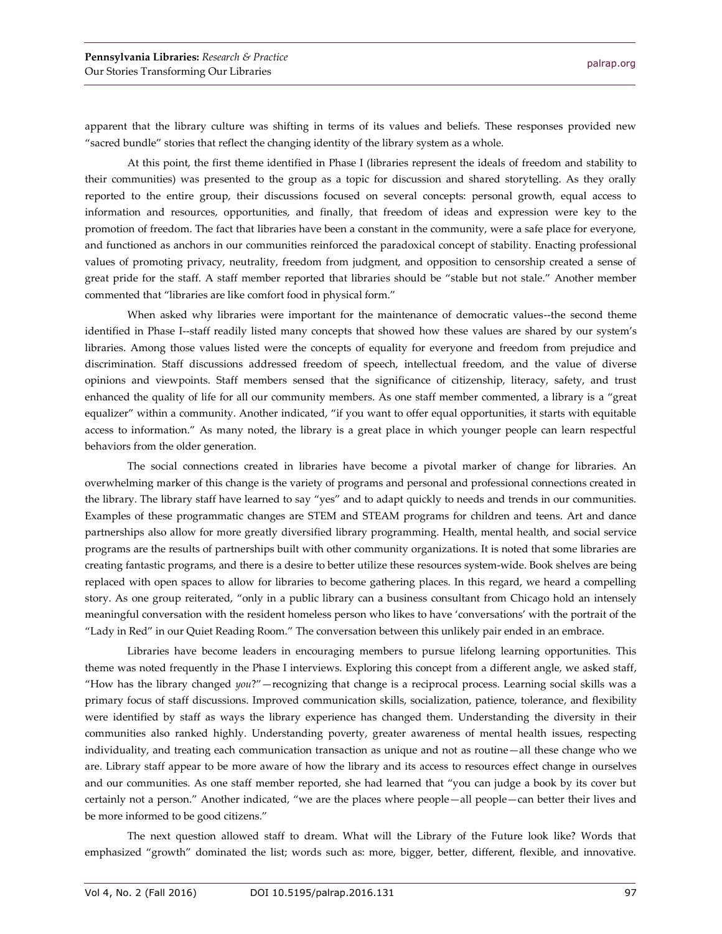apparent that the library culture was shifting in terms of its values and beliefs. These responses provided new "sacred bundle" stories that reflect the changing identity of the library system as a whole.

At this point, the first theme identified in Phase I (libraries represent the ideals of freedom and stability to their communities) was presented to the group as a topic for discussion and shared storytelling. As they orally reported to the entire group, their discussions focused on several concepts: personal growth, equal access to information and resources, opportunities, and finally, that freedom of ideas and expression were key to the promotion of freedom. The fact that libraries have been a constant in the community, were a safe place for everyone, and functioned as anchors in our communities reinforced the paradoxical concept of stability. Enacting professional values of promoting privacy, neutrality, freedom from judgment, and opposition to censorship created a sense of great pride for the staff. A staff member reported that libraries should be "stable but not stale." Another member commented that "libraries are like comfort food in physical form."

When asked why libraries were important for the maintenance of democratic values--the second theme identified in Phase I--staff readily listed many concepts that showed how these values are shared by our system's libraries. Among those values listed were the concepts of equality for everyone and freedom from prejudice and discrimination. Staff discussions addressed freedom of speech, intellectual freedom, and the value of diverse opinions and viewpoints. Staff members sensed that the significance of citizenship, literacy, safety, and trust enhanced the quality of life for all our community members. As one staff member commented, a library is a "great equalizer" within a community. Another indicated, "if you want to offer equal opportunities, it starts with equitable access to information." As many noted, the library is a great place in which younger people can learn respectful behaviors from the older generation.

The social connections created in libraries have become a pivotal marker of change for libraries. An overwhelming marker of this change is the variety of programs and personal and professional connections created in the library. The library staff have learned to say "yes" and to adapt quickly to needs and trends in our communities. Examples of these programmatic changes are STEM and STEAM programs for children and teens. Art and dance partnerships also allow for more greatly diversified library programming. Health, mental health, and social service programs are the results of partnerships built with other community organizations. It is noted that some libraries are creating fantastic programs, and there is a desire to better utilize these resources system-wide. Book shelves are being replaced with open spaces to allow for libraries to become gathering places. In this regard, we heard a compelling story. As one group reiterated, "only in a public library can a business consultant from Chicago hold an intensely meaningful conversation with the resident homeless person who likes to have 'conversations' with the portrait of the "Lady in Red" in our Quiet Reading Room." The conversation between this unlikely pair ended in an embrace.

Libraries have become leaders in encouraging members to pursue lifelong learning opportunities. This theme was noted frequently in the Phase I interviews. Exploring this concept from a different angle, we asked staff, "How has the library changed *you*?"—recognizing that change is a reciprocal process. Learning social skills was a primary focus of staff discussions. Improved communication skills, socialization, patience, tolerance, and flexibility were identified by staff as ways the library experience has changed them. Understanding the diversity in their communities also ranked highly. Understanding poverty, greater awareness of mental health issues, respecting individuality, and treating each communication transaction as unique and not as routine—all these change who we are. Library staff appear to be more aware of how the library and its access to resources effect change in ourselves and our communities. As one staff member reported, she had learned that "you can judge a book by its cover but certainly not a person." Another indicated, "we are the places where people—all people—can better their lives and be more informed to be good citizens."

The next question allowed staff to dream. What will the Library of the Future look like? Words that emphasized "growth" dominated the list; words such as: more, bigger, better, different, flexible, and innovative.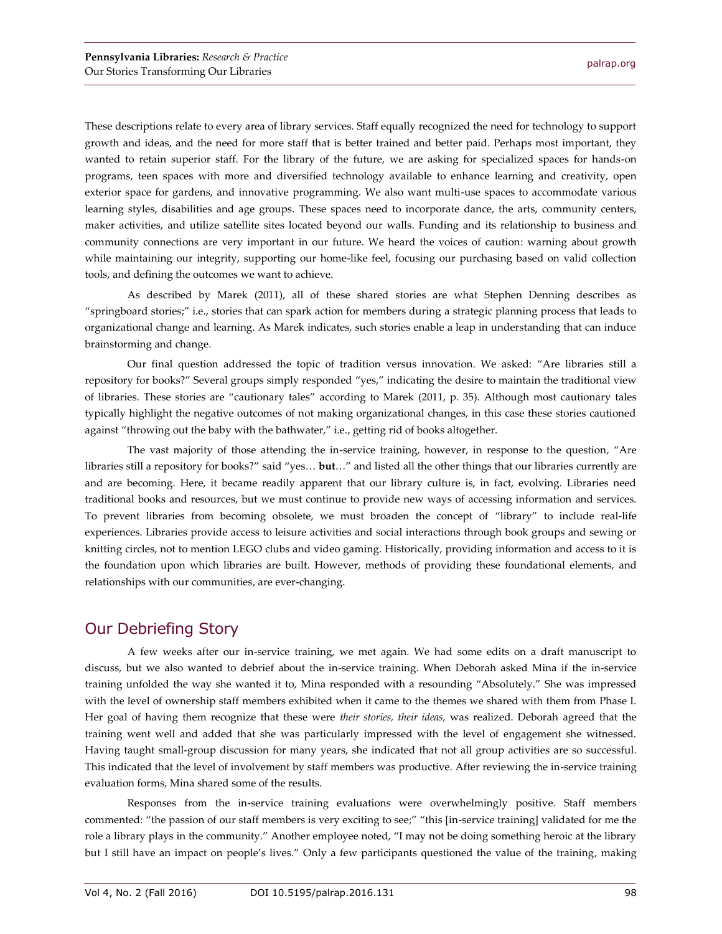These descriptions relate to every area of library services. Staff equally recognized the need for technology to support growth and ideas, and the need for more staff that is better trained and better paid. Perhaps most important, they wanted to retain superior staff. For the library of the future, we are asking for specialized spaces for hands-on programs, teen spaces with more and diversified technology available to enhance learning and creativity, open exterior space for gardens, and innovative programming. We also want multi-use spaces to accommodate various learning styles, disabilities and age groups. These spaces need to incorporate dance, the arts, community centers, maker activities, and utilize satellite sites located beyond our walls. Funding and its relationship to business and community connections are very important in our future. We heard the voices of caution: warning about growth while maintaining our integrity, supporting our home-like feel, focusing our purchasing based on valid collection tools, and defining the outcomes we want to achieve.

As described by Marek (2011), all of these shared stories are what Stephen Denning describes as "springboard stories;" i.e., stories that can spark action for members during a strategic planning process that leads to organizational change and learning. As Marek indicates, such stories enable a leap in understanding that can induce brainstorming and change.

Our final question addressed the topic of tradition versus innovation. We asked: "Are libraries still a repository for books?" Several groups simply responded "yes," indicating the desire to maintain the traditional view of libraries. These stories are "cautionary tales" according to Marek (2011, p. 35). Although most cautionary tales typically highlight the negative outcomes of not making organizational changes, in this case these stories cautioned against "throwing out the baby with the bathwater," i.e., getting rid of books altogether.

The vast majority of those attending the in-service training, however, in response to the question, "Are libraries still a repository for books?" said "yes… **but**…" and listed all the other things that our libraries currently are and are becoming. Here, it became readily apparent that our library culture is, in fact, evolving. Libraries need traditional books and resources, but we must continue to provide new ways of accessing information and services. To prevent libraries from becoming obsolete, we must broaden the concept of "library" to include real-life experiences. Libraries provide access to leisure activities and social interactions through book groups and sewing or knitting circles, not to mention LEGO clubs and video gaming. Historically, providing information and access to it is the foundation upon which libraries are built. However, methods of providing these foundational elements, and relationships with our communities, are ever-changing.

## Our Debriefing Story

A few weeks after our in-service training, we met again. We had some edits on a draft manuscript to discuss, but we also wanted to debrief about the in-service training. When Deborah asked Mina if the in-service training unfolded the way she wanted it to, Mina responded with a resounding "Absolutely." She was impressed with the level of ownership staff members exhibited when it came to the themes we shared with them from Phase I. Her goal of having them recognize that these were *their stories, their ideas,* was realized. Deborah agreed that the training went well and added that she was particularly impressed with the level of engagement she witnessed. Having taught small-group discussion for many years, she indicated that not all group activities are so successful. This indicated that the level of involvement by staff members was productive. After reviewing the in-service training evaluation forms, Mina shared some of the results.

Responses from the in-service training evaluations were overwhelmingly positive. Staff members commented: "the passion of our staff members is very exciting to see;" "this [in-service training] validated for me the role a library plays in the community." Another employee noted, "I may not be doing something heroic at the library but I still have an impact on people's lives." Only a few participants questioned the value of the training, making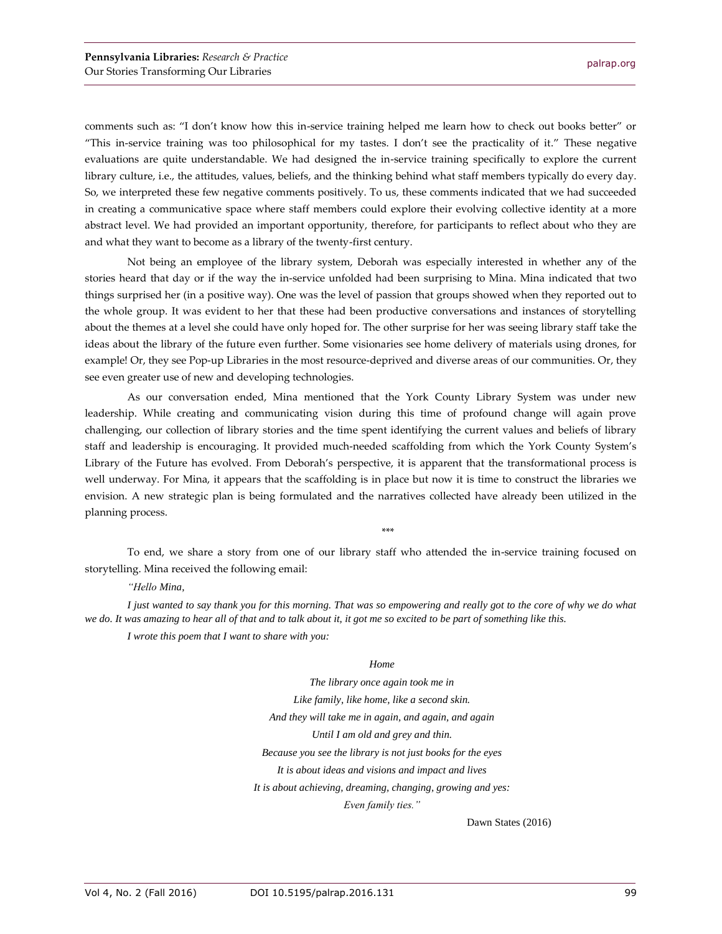comments such as: "I don't know how this in-service training helped me learn how to check out books better" or "This in-service training was too philosophical for my tastes. I don't see the practicality of it." These negative evaluations are quite understandable. We had designed the in-service training specifically to explore the current library culture, i.e., the attitudes, values, beliefs, and the thinking behind what staff members typically do every day. So, we interpreted these few negative comments positively. To us, these comments indicated that we had succeeded in creating a communicative space where staff members could explore their evolving collective identity at a more abstract level. We had provided an important opportunity, therefore, for participants to reflect about who they are and what they want to become as a library of the twenty-first century.

Not being an employee of the library system, Deborah was especially interested in whether any of the stories heard that day or if the way the in-service unfolded had been surprising to Mina. Mina indicated that two things surprised her (in a positive way). One was the level of passion that groups showed when they reported out to the whole group. It was evident to her that these had been productive conversations and instances of storytelling about the themes at a level she could have only hoped for. The other surprise for her was seeing library staff take the ideas about the library of the future even further. Some visionaries see home delivery of materials using drones, for example! Or, they see Pop-up Libraries in the most resource-deprived and diverse areas of our communities. Or, they see even greater use of new and developing technologies.

As our conversation ended, Mina mentioned that the York County Library System was under new leadership. While creating and communicating vision during this time of profound change will again prove challenging, our collection of library stories and the time spent identifying the current values and beliefs of library staff and leadership is encouraging. It provided much-needed scaffolding from which the York County System's Library of the Future has evolved. From Deborah's perspective, it is apparent that the transformational process is well underway. For Mina, it appears that the scaffolding is in place but now it is time to construct the libraries we envision. A new strategic plan is being formulated and the narratives collected have already been utilized in the planning process.

\*\*\*

To end, we share a story from one of our library staff who attended the in-service training focused on storytelling. Mina received the following email:

#### *"Hello Mina,*

*I just wanted to say thank you for this morning. That was so empowering and really got to the core of why we do what we do. It was amazing to hear all of that and to talk about it, it got me so excited to be part of something like this.*

*I wrote this poem that I want to share with you:*

#### *Home*

*The library once again took me in Like family, like home, like a second skin. And they will take me in again, and again, and again Until I am old and grey and thin. Because you see the library is not just books for the eyes It is about ideas and visions and impact and lives It is about achieving, dreaming, changing, growing and yes: Even family ties."*

Dawn States (2016)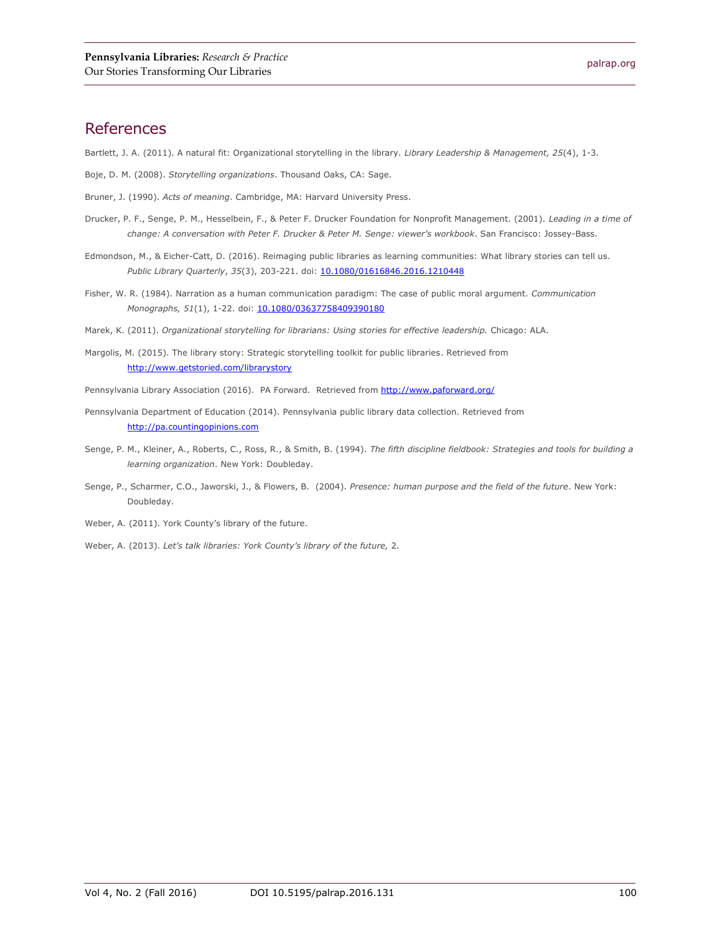#### References

Bartlett, J. A. (2011). A natural fit: Organizational storytelling in the library. *Library Leadership & Management, 25*(4), 1-3.

- Boje, D. M. (2008). *Storytelling organizations*. Thousand Oaks, CA: Sage.
- Bruner, J. (1990). *Acts of meaning*. Cambridge, MA: Harvard University Press.
- Drucker, P. F., Senge, P. M., Hesselbein, F., & Peter F. Drucker Foundation for Nonprofit Management. (2001). *Leading in a time of change: A conversation with Peter F. Drucker & Peter M. Senge: viewer's workbook*. San Francisco: Jossey-Bass.
- Edmondson, M., & Eicher-Catt, D. (2016). Reimaging public libraries as learning communities: What library stories can tell us. *Public Library Quarterly, 35*(3), 203-221. doi: [10.1080/01616846.2016.1210448](http://dx.doi.org/10.1080/01616846.2016.1210448)
- Fisher, W. R. (1984). Narration as a human communication paradigm: The case of public moral argument. *Communication Monographs,* 51(1), 1-22. doi: [10.1080/03637758409390180](http://dx.doi.org/10.1080/03637758409390180)
- Marek, K. (2011). *Organizational storytelling for librarians: Using stories for effective leadership.* Chicago: ALA.
- Margolis, M. (2015). The library story: Strategic storytelling toolkit for public libraries. Retrieved from <http://www.getstoried.com/librarystory>
- Pennsylvania Library Association (2016). PA Forward. Retrieved from<http://www.paforward.org/>
- Pennsylvania Department of Education (2014). Pennsylvania public library data collection. Retrieved from [http://pa.countingopinions.com](http://pa.countingopinions.com/)
- Senge, P. M., Kleiner, A., Roberts, C., Ross, R., & Smith, B. (1994). *The fifth discipline fieldbook: Strategies and tools for building a learning organization*. New York: Doubleday.
- Senge, P., Scharmer, C.O., Jaworski, J., & Flowers, B. (2004). *Presence: human purpose and the field of the future*. New York: Doubleday.
- Weber, A. (2011). York County's library of the future.
- Weber, A. (2013). *Let's talk libraries: York County's library of the future,* 2.